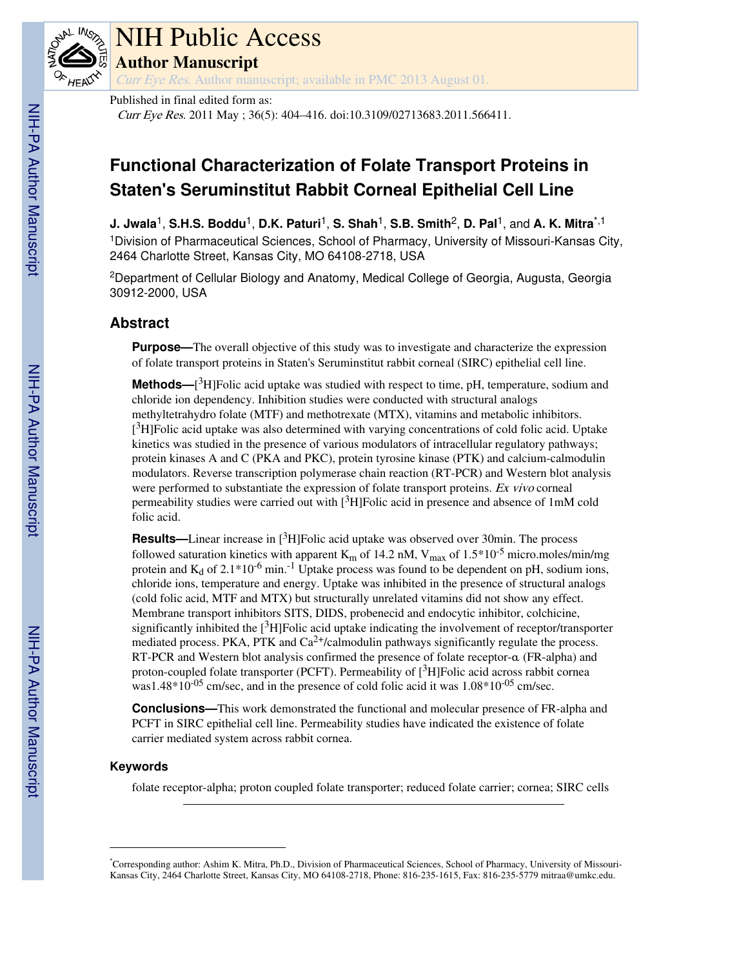

# NIH Public Access

**Author Manuscript**

Curr Eye Res. Author manuscript; available in PMC 2013 August 01.

Published in final edited form as:

Curr Eye Res. 2011 May ; 36(5): 404–416. doi:10.3109/02713683.2011.566411.

# **Functional Characterization of Folate Transport Proteins in Staten's Seruminstitut Rabbit Corneal Epithelial Cell Line**

**J. Jwala**1, **S.H.S. Boddu**1, **D.K. Paturi**1, **S. Shah**1, **S.B. Smith**2, **D. Pal**1, and **A. K. Mitra**\*,1

<sup>1</sup>Division of Pharmaceutical Sciences, School of Pharmacy, University of Missouri-Kansas City, 2464 Charlotte Street, Kansas City, MO 64108-2718, USA

<sup>2</sup>Department of Cellular Biology and Anatomy, Medical College of Georgia, Augusta, Georgia 30912-2000, USA

# **Abstract**

**Purpose—The overall objective of this study was to investigate and characterize the expression** of folate transport proteins in Staten's Seruminstitut rabbit corneal (SIRC) epithelial cell line.

**Methods—**[ <sup>3</sup>H]Folic acid uptake was studied with respect to time, pH, temperature, sodium and chloride ion dependency. Inhibition studies were conducted with structural analogs methyltetrahydro folate (MTF) and methotrexate (MTX), vitamins and metabolic inhibitors. [<sup>3</sup>H]Folic acid uptake was also determined with varying concentrations of cold folic acid. Uptake kinetics was studied in the presence of various modulators of intracellular regulatory pathways; protein kinases A and C (PKA and PKC), protein tyrosine kinase (PTK) and calcium-calmodulin modulators. Reverse transcription polymerase chain reaction (RT-PCR) and Western blot analysis were performed to substantiate the expression of folate transport proteins. Ex vivo corneal permeability studies were carried out with  $\binom{3}{1}$ Folic acid in presence and absence of 1mM cold folic acid.

**Results—**Linear increase in [<sup>3</sup>H]Folic acid uptake was observed over 30min. The process followed saturation kinetics with apparent  $K_m$  of 14.2 nM,  $V_{max}$  of 1.5\*10<sup>-5</sup> micro.moles/min/mg protein and  $K_d$  of 2.1\*10<sup>-6</sup> min.<sup>-1</sup> Uptake process was found to be dependent on pH, sodium ions, chloride ions, temperature and energy. Uptake was inhibited in the presence of structural analogs (cold folic acid, MTF and MTX) but structurally unrelated vitamins did not show any effect. Membrane transport inhibitors SITS, DIDS, probenecid and endocytic inhibitor, colchicine, significantly inhibited the  $[3H]$ Folic acid uptake indicating the involvement of receptor/transporter mediated process. PKA, PTK and  $Ca^{2+}/c$ almodulin pathways significantly regulate the process. RT-PCR and Western blot analysis confirmed the presence of folate receptor-α (FR-alpha) and proton-coupled folate transporter (PCFT). Permeability of  $[^{3}H]F$ olic acid across rabbit cornea was1.48 $*10^{-05}$  cm/sec, and in the presence of cold folic acid it was 1.08 $*10^{-05}$  cm/sec.

**Conclusions—**This work demonstrated the functional and molecular presence of FR-alpha and PCFT in SIRC epithelial cell line. Permeability studies have indicated the existence of folate carrier mediated system across rabbit cornea.

## **Keywords**

folate receptor-alpha; proton coupled folate transporter; reduced folate carrier; cornea; SIRC cells

<sup>\*</sup>Corresponding author: Ashim K. Mitra, Ph.D., Division of Pharmaceutical Sciences, School of Pharmacy, University of Missouri-Kansas City, 2464 Charlotte Street, Kansas City, MO 64108-2718, Phone: 816-235-1615, Fax: 816-235-5779 mitraa@umkc.edu.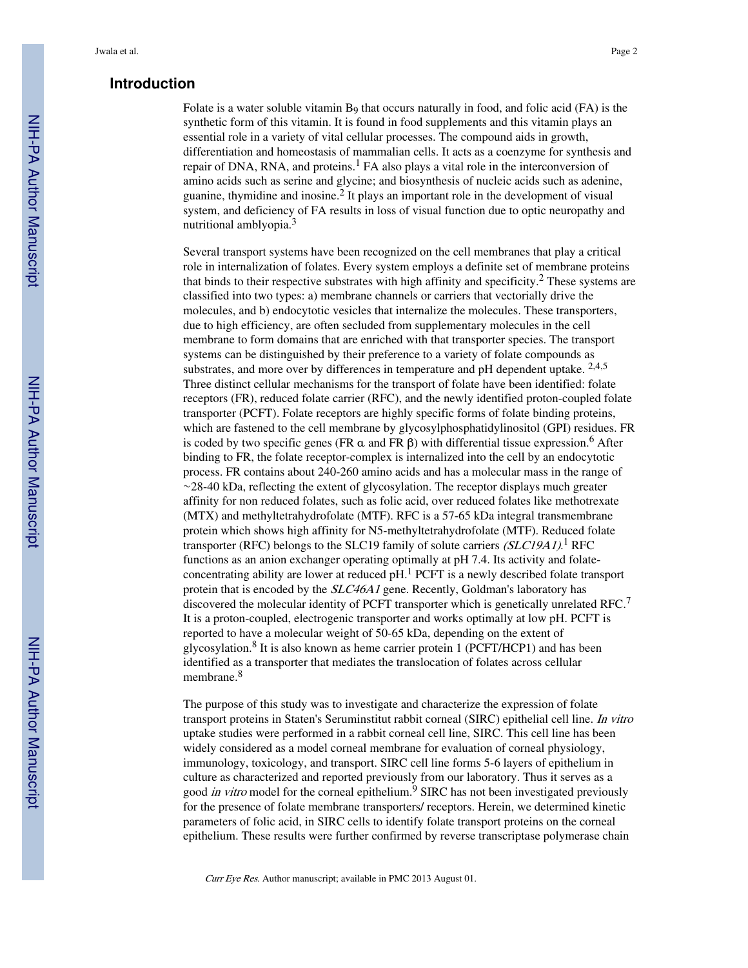## **Introduction**

Folate is a water soluble vitamin  $B_9$  that occurs naturally in food, and folic acid (FA) is the synthetic form of this vitamin. It is found in food supplements and this vitamin plays an essential role in a variety of vital cellular processes. The compound aids in growth, differentiation and homeostasis of mammalian cells. It acts as a coenzyme for synthesis and repair of DNA, RNA, and proteins.<sup>1</sup> FA also plays a vital role in the interconversion of amino acids such as serine and glycine; and biosynthesis of nucleic acids such as adenine, guanine, thymidine and inosine.<sup>2</sup> It plays an important role in the development of visual system, and deficiency of FA results in loss of visual function due to optic neuropathy and nutritional amblyopia.<sup>3</sup>

Several transport systems have been recognized on the cell membranes that play a critical role in internalization of folates. Every system employs a definite set of membrane proteins that binds to their respective substrates with high affinity and specificity.<sup>2</sup> These systems are classified into two types: a) membrane channels or carriers that vectorially drive the molecules, and b) endocytotic vesicles that internalize the molecules. These transporters, due to high efficiency, are often secluded from supplementary molecules in the cell membrane to form domains that are enriched with that transporter species. The transport systems can be distinguished by their preference to a variety of folate compounds as substrates, and more over by differences in temperature and pH dependent uptake. 2,4,5 Three distinct cellular mechanisms for the transport of folate have been identified: folate receptors (FR), reduced folate carrier (RFC), and the newly identified proton-coupled folate transporter (PCFT). Folate receptors are highly specific forms of folate binding proteins, which are fastened to the cell membrane by glycosylphosphatidylinositol (GPI) residues. FR is coded by two specific genes (FR  $\alpha$  and FR  $\beta$ ) with differential tissue expression.<sup>6</sup> After binding to FR, the folate receptor-complex is internalized into the cell by an endocytotic process. FR contains about 240-260 amino acids and has a molecular mass in the range of ∼28-40 kDa, reflecting the extent of glycosylation. The receptor displays much greater affinity for non reduced folates, such as folic acid, over reduced folates like methotrexate (MTX) and methyltetrahydrofolate (MTF). RFC is a 57-65 kDa integral transmembrane protein which shows high affinity for N5-methyltetrahydrofolate (MTF). Reduced folate transporter (RFC) belongs to the SLC19 family of solute carriers (SLC19A1).<sup>1</sup> RFC functions as an anion exchanger operating optimally at pH 7.4. Its activity and folateconcentrating ability are lower at reduced pH.<sup>1</sup> PCFT is a newly described folate transport protein that is encoded by the SLC46A1 gene. Recently, Goldman's laboratory has discovered the molecular identity of PCFT transporter which is genetically unrelated RFC.<sup>7</sup> It is a proton-coupled, electrogenic transporter and works optimally at low pH. PCFT is reported to have a molecular weight of 50-65 kDa, depending on the extent of glycosylation.<sup>8</sup> It is also known as heme carrier protein 1 (PCFT/HCP1) and has been identified as a transporter that mediates the translocation of folates across cellular membrane.<sup>8</sup>

The purpose of this study was to investigate and characterize the expression of folate transport proteins in Staten's Seruminstitut rabbit corneal (SIRC) epithelial cell line. In vitro uptake studies were performed in a rabbit corneal cell line, SIRC. This cell line has been widely considered as a model corneal membrane for evaluation of corneal physiology, immunology, toxicology, and transport. SIRC cell line forms 5-6 layers of epithelium in culture as characterized and reported previously from our laboratory. Thus it serves as a good *in vitro* model for the corneal epithelium.<sup>9</sup> SIRC has not been investigated previously for the presence of folate membrane transporters/ receptors. Herein, we determined kinetic parameters of folic acid, in SIRC cells to identify folate transport proteins on the corneal epithelium. These results were further confirmed by reverse transcriptase polymerase chain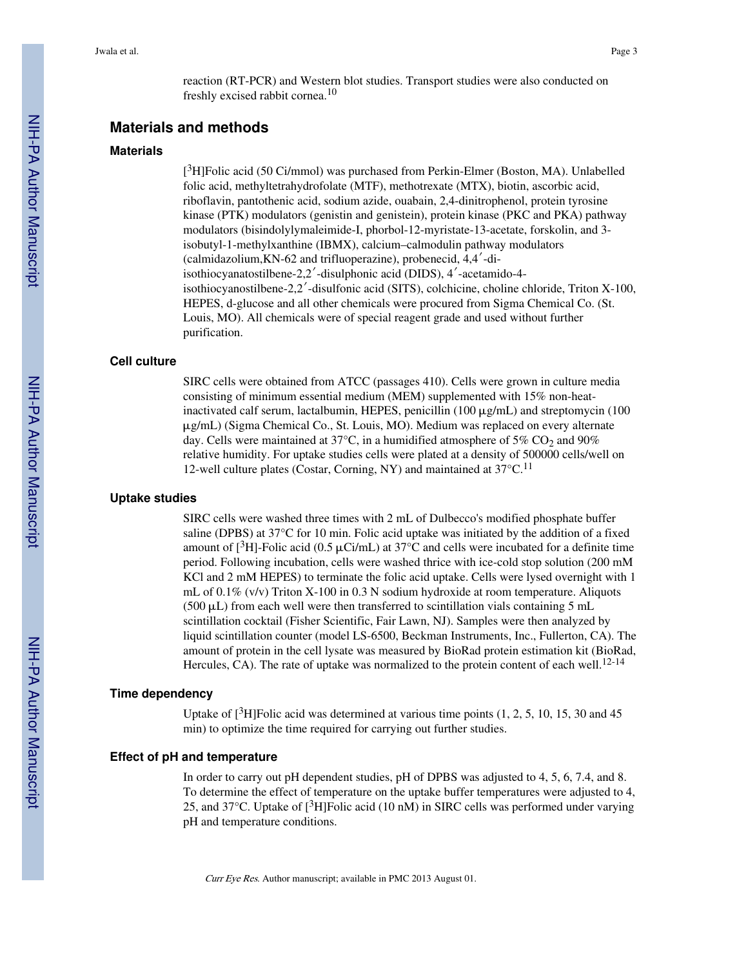reaction (RT-PCR) and Western blot studies. Transport studies were also conducted on freshly excised rabbit cornea.<sup>10</sup>

# **Materials and methods**

#### **Materials**

[<sup>3</sup>H]Folic acid (50 Ci/mmol) was purchased from Perkin-Elmer (Boston, MA). Unlabelled folic acid, methyltetrahydrofolate (MTF), methotrexate (MTX), biotin, ascorbic acid, riboflavin, pantothenic acid, sodium azide, ouabain, 2,4-dinitrophenol, protein tyrosine kinase (PTK) modulators (genistin and genistein), protein kinase (PKC and PKA) pathway modulators (bisindolylymaleimide-I, phorbol-12-myristate-13-acetate, forskolin, and 3 isobutyl-1-methylxanthine (IBMX), calcium–calmodulin pathway modulators (calmidazolium,KN-62 and trifluoperazine), probenecid, 4,4′-diisothiocyanatostilbene-2,2′-disulphonic acid (DIDS), 4′-acetamido-4 isothiocyanostilbene-2,2′-disulfonic acid (SITS), colchicine, choline chloride, Triton X-100, HEPES, d-glucose and all other chemicals were procured from Sigma Chemical Co. (St. Louis, MO). All chemicals were of special reagent grade and used without further purification.

#### **Cell culture**

SIRC cells were obtained from ATCC (passages 410). Cells were grown in culture media consisting of minimum essential medium (MEM) supplemented with 15% non-heatinactivated calf serum, lactalbumin, HEPES, penicillin  $(100 \mu g/mL)$  and streptomycin (100 μg/mL) (Sigma Chemical Co., St. Louis, MO). Medium was replaced on every alternate day. Cells were maintained at 37 $\degree$ C, in a humidified atmosphere of 5% CO<sub>2</sub> and 90% relative humidity. For uptake studies cells were plated at a density of 500000 cells/well on 12-well culture plates (Costar, Corning, NY) and maintained at  $37^{\circ}$ C.<sup>11</sup>

#### **Uptake studies**

SIRC cells were washed three times with 2 mL of Dulbecco's modified phosphate buffer saline (DPBS) at 37°C for 10 min. Folic acid uptake was initiated by the addition of a fixed amount of [ $3H$ ]-Folic acid (0.5  $\mu$ Ci/mL) at 37°C and cells were incubated for a definite time period. Following incubation, cells were washed thrice with ice-cold stop solution (200 mM KCl and 2 mM HEPES) to terminate the folic acid uptake. Cells were lysed overnight with 1 mL of 0.1% (v/v) Triton X-100 in 0.3 N sodium hydroxide at room temperature. Aliquots  $(500 \,\mu L)$  from each well were then transferred to scintillation vials containing 5 mL scintillation cocktail (Fisher Scientific, Fair Lawn, NJ). Samples were then analyzed by liquid scintillation counter (model LS-6500, Beckman Instruments, Inc., Fullerton, CA). The amount of protein in the cell lysate was measured by BioRad protein estimation kit (BioRad, Hercules, CA). The rate of uptake was normalized to the protein content of each well.<sup>12-14</sup>

#### **Time dependency**

Uptake of  $\lceil 3H \rceil$ Folic acid was determined at various time points (1, 2, 5, 10, 15, 30 and 45 min) to optimize the time required for carrying out further studies.

#### **Effect of pH and temperature**

In order to carry out pH dependent studies, pH of DPBS was adjusted to 4, 5, 6, 7.4, and 8. To determine the effect of temperature on the uptake buffer temperatures were adjusted to 4, 25, and 37 $\degree$ C. Uptake of  $[^3H]$ Folic acid (10 nM) in SIRC cells was performed under varying pH and temperature conditions.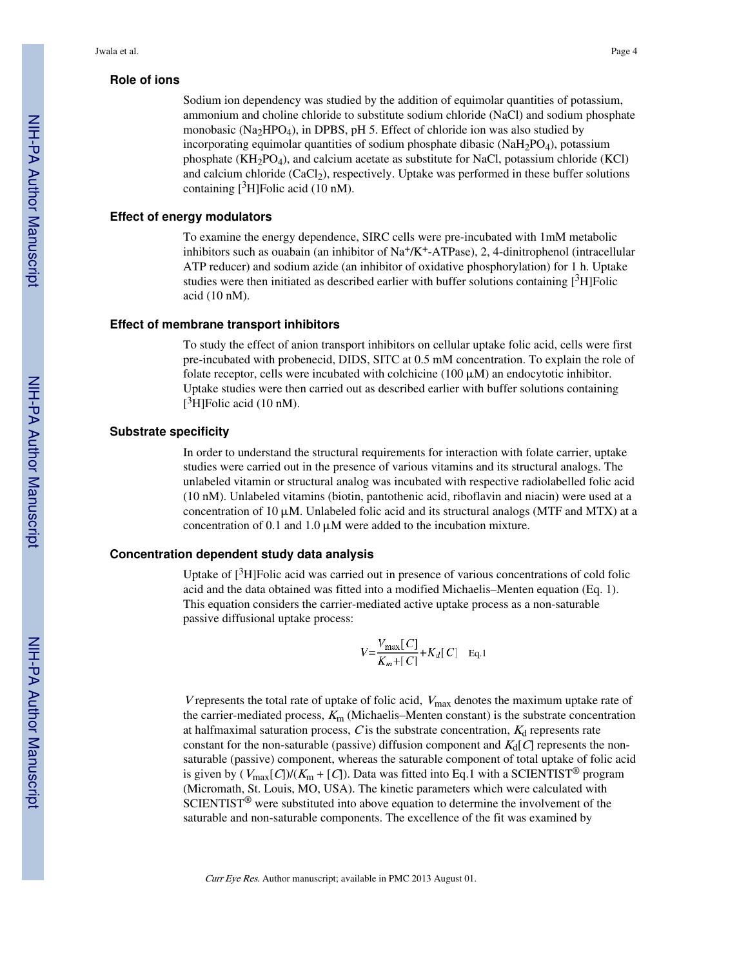#### **Role of ions**

Sodium ion dependency was studied by the addition of equimolar quantities of potassium, ammonium and choline chloride to substitute sodium chloride (NaCl) and sodium phosphate monobasic (Na<sub>2</sub>HPO<sub>4</sub>), in DPBS, pH 5. Effect of chloride ion was also studied by incorporating equimolar quantities of sodium phosphate dibasic (NaH<sub>2</sub>PO<sub>4</sub>), potassium phosphate  $(KH_2PO_4)$ , and calcium acetate as substitute for NaCl, potassium chloride (KCl) and calcium chloride (CaCl<sub>2</sub>), respectively. Uptake was performed in these buffer solutions containing  $[{}^{3}H]$ Folic acid (10 nM).

#### **Effect of energy modulators**

To examine the energy dependence, SIRC cells were pre-incubated with 1mM metabolic inhibitors such as ouabain (an inhibitor of  $\text{Na}^+\text{/K}^+$ -ATPase), 2, 4-dinitrophenol (intracellular ATP reducer) and sodium azide (an inhibitor of oxidative phosphorylation) for 1 h. Uptake studies were then initiated as described earlier with buffer solutions containing  $[3H]Folic$ acid (10 nM).

#### **Effect of membrane transport inhibitors**

To study the effect of anion transport inhibitors on cellular uptake folic acid, cells were first pre-incubated with probenecid, DIDS, SITC at 0.5 mM concentration. To explain the role of folate receptor, cells were incubated with colchicine  $(100 \mu M)$  an endocytotic inhibitor. Uptake studies were then carried out as described earlier with buffer solutions containing  $[3H]$ Folic acid (10 nM).

#### **Substrate specificity**

In order to understand the structural requirements for interaction with folate carrier, uptake studies were carried out in the presence of various vitamins and its structural analogs. The unlabeled vitamin or structural analog was incubated with respective radiolabelled folic acid (10 nM). Unlabeled vitamins (biotin, pantothenic acid, riboflavin and niacin) were used at a concentration of  $10 \mu$ M. Unlabeled folic acid and its structural analogs (MTF and MTX) at a concentration of 0.1 and  $1.0 \mu$ M were added to the incubation mixture.

#### **Concentration dependent study data analysis**

Uptake of  $\beta$ H]Folic acid was carried out in presence of various concentrations of cold folic acid and the data obtained was fitted into a modified Michaelis–Menten equation (Eq. 1). This equation considers the carrier-mediated active uptake process as a non-saturable passive diffusional uptake process:

$$
V = \frac{V_{\text{max}}[C]}{K_m + [C]} + K_d[C] \quad \text{Eq.1}
$$

V represents the total rate of uptake of folic acid,  $V_{\text{max}}$  denotes the maximum uptake rate of the carrier-mediated process,  $K<sub>m</sub>$  (Michaelis–Menten constant) is the substrate concentration at halfmaximal saturation process,  $C$  is the substrate concentration,  $K_d$  represents rate constant for the non-saturable (passive) diffusion component and  $K_d[C]$  represents the nonsaturable (passive) component, whereas the saturable component of total uptake of folic acid is given by  $(V_{\text{max}}[C]/(K_m + [C])$ . Data was fitted into Eq.1 with a SCIENTIST<sup>®</sup> program (Micromath, St. Louis, MO, USA). The kinetic parameters which were calculated with SCIENTIST® were substituted into above equation to determine the involvement of the saturable and non-saturable components. The excellence of the fit was examined by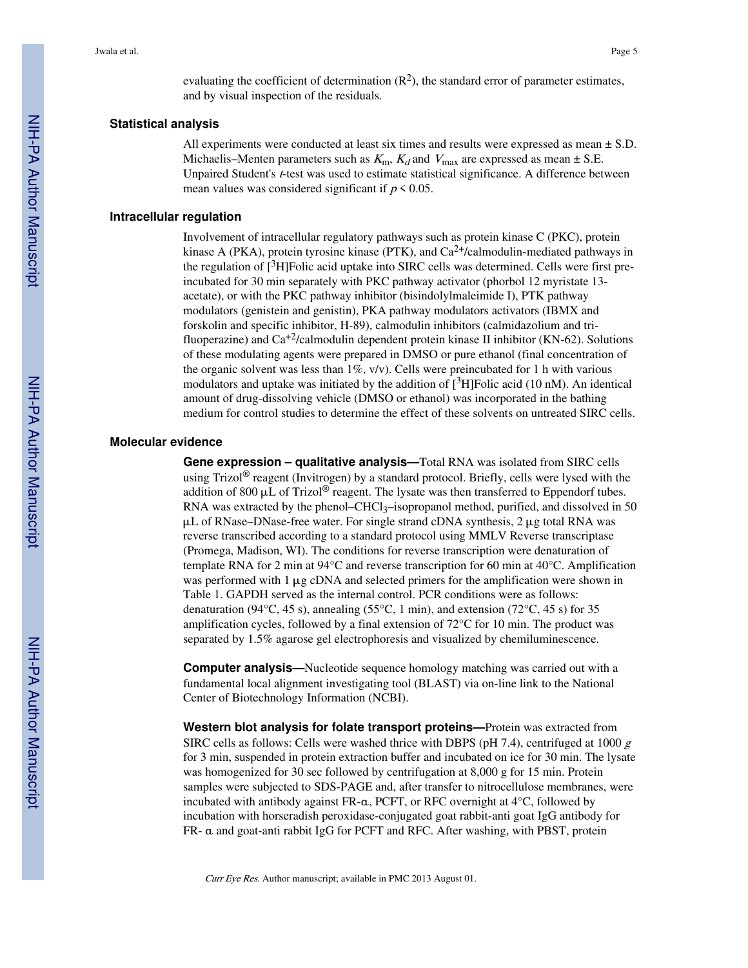evaluating the coefficient of determination  $(R^2)$ , the standard error of parameter estimates, and by visual inspection of the residuals.

#### **Statistical analysis**

All experiments were conducted at least six times and results were expressed as mean  $\pm$  S.D. Michaelis–Menten parameters such as  $K_{\text{m}}$ ,  $K_d$  and  $V_{\text{max}}$  are expressed as mean  $\pm$  S.E. Unpaired Student's t-test was used to estimate statistical significance. A difference between mean values was considered significant if  $p \leq 0.05$ .

#### **Intracellular regulation**

Involvement of intracellular regulatory pathways such as protein kinase C (PKC), protein kinase A (PKA), protein tyrosine kinase (PTK), and  $Ca^{2+}/cal$  modulin-mediated pathways in the regulation of  $[3H]$ Folic acid uptake into SIRC cells was determined. Cells were first preincubated for 30 min separately with PKC pathway activator (phorbol 12 myristate 13 acetate), or with the PKC pathway inhibitor (bisindolylmaleimide I), PTK pathway modulators (genistein and genistin), PKA pathway modulators activators (IBMX and forskolin and specific inhibitor, H-89), calmodulin inhibitors (calmidazolium and trifluoperazine) and  $Ca^{+2}/c$ almodulin dependent protein kinase II inhibitor (KN-62). Solutions of these modulating agents were prepared in DMSO or pure ethanol (final concentration of the organic solvent was less than  $1\%$ , v/v). Cells were preincubated for 1 h with various modulators and uptake was initiated by the addition of  $\lceil 3H \rceil$ Folic acid (10 nM). An identical amount of drug-dissolving vehicle (DMSO or ethanol) was incorporated in the bathing medium for control studies to determine the effect of these solvents on untreated SIRC cells.

#### **Molecular evidence**

**Gene expression – qualitative analysis—**Total RNA was isolated from SIRC cells using Trizol<sup>®</sup> reagent (Invitrogen) by a standard protocol. Briefly, cells were lysed with the addition of 800  $\mu$ L of Trizol<sup>®</sup> reagent. The lysate was then transferred to Eppendorf tubes. RNA was extracted by the phenol– $CHCl<sub>3</sub>$ –isopropanol method, purified, and dissolved in 50  $\mu$ L of RNase–DNase-free water. For single strand cDNA synthesis, 2  $\mu$ g total RNA was reverse transcribed according to a standard protocol using MMLV Reverse transcriptase (Promega, Madison, WI). The conditions for reverse transcription were denaturation of template RNA for 2 min at 94°C and reverse transcription for 60 min at 40°C. Amplification was performed with  $1 \mu$ g cDNA and selected primers for the amplification were shown in Table 1. GAPDH served as the internal control. PCR conditions were as follows: denaturation (94 $\degree$ C, 45 s), annealing (55 $\degree$ C, 1 min), and extension (72 $\degree$ C, 45 s) for 35 amplification cycles, followed by a final extension of 72°C for 10 min. The product was separated by 1.5% agarose gel electrophoresis and visualized by chemiluminescence.

**Computer analysis—**Nucleotide sequence homology matching was carried out with a fundamental local alignment investigating tool (BLAST) via on-line link to the National Center of Biotechnology Information (NCBI).

**Western blot analysis for folate transport proteins—**Protein was extracted from SIRC cells as follows: Cells were washed thrice with DBPS (pH 7.4), centrifuged at 1000  $g$ for 3 min, suspended in protein extraction buffer and incubated on ice for 30 min. The lysate was homogenized for 30 sec followed by centrifugation at 8,000 g for 15 min. Protein samples were subjected to SDS-PAGE and, after transfer to nitrocellulose membranes, were incubated with antibody against FR-α, PCFT, or RFC overnight at 4°C, followed by incubation with horseradish peroxidase-conjugated goat rabbit-anti goat IgG antibody for FR- α and goat-anti rabbit IgG for PCFT and RFC. After washing, with PBST, protein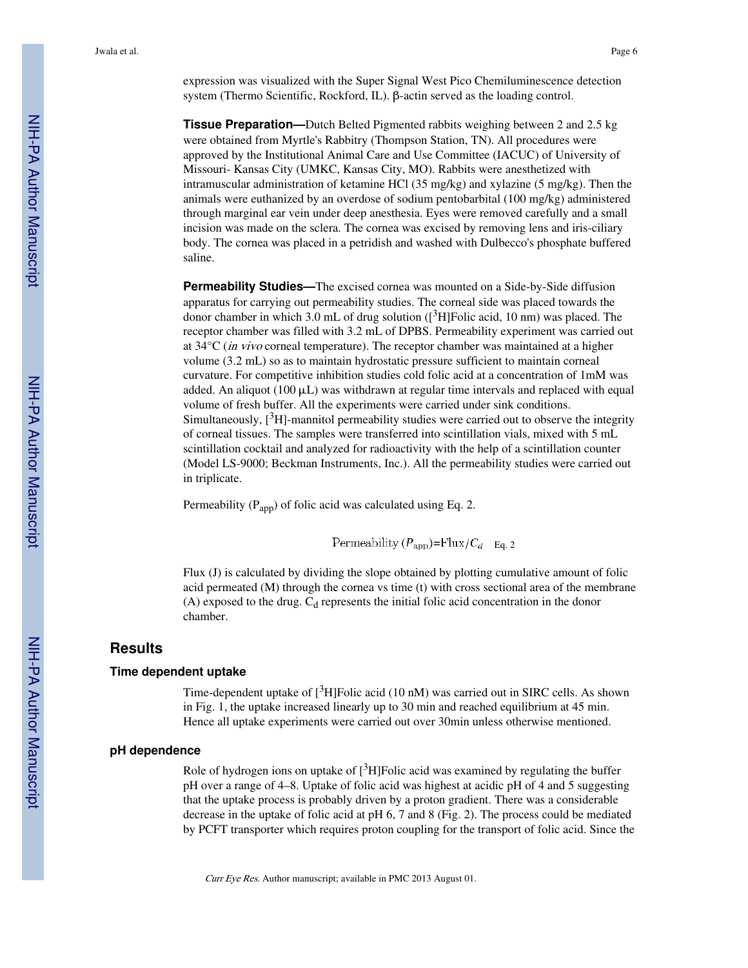expression was visualized with the Super Signal West Pico Chemiluminescence detection system (Thermo Scientific, Rockford, IL). β-actin served as the loading control.

**Tissue Preparation—**Dutch Belted Pigmented rabbits weighing between 2 and 2.5 kg were obtained from Myrtle's Rabbitry (Thompson Station, TN). All procedures were approved by the Institutional Animal Care and Use Committee (IACUC) of University of Missouri- Kansas City (UMKC, Kansas City, MO). Rabbits were anesthetized with intramuscular administration of ketamine HCl (35 mg/kg) and xylazine (5 mg/kg). Then the animals were euthanized by an overdose of sodium pentobarbital (100 mg/kg) administered through marginal ear vein under deep anesthesia. Eyes were removed carefully and a small incision was made on the sclera. The cornea was excised by removing lens and iris-ciliary body. The cornea was placed in a petridish and washed with Dulbecco's phosphate buffered saline.

**Permeability Studies—**The excised cornea was mounted on a Side-by-Side diffusion apparatus for carrying out permeability studies. The corneal side was placed towards the donor chamber in which 3.0 mL of drug solution  $({}^{3}H]$ Folic acid, 10 nm) was placed. The receptor chamber was filled with 3.2 mL of DPBS. Permeability experiment was carried out at 34°C (in vivo corneal temperature). The receptor chamber was maintained at a higher volume (3.2 mL) so as to maintain hydrostatic pressure sufficient to maintain corneal curvature. For competitive inhibition studies cold folic acid at a concentration of 1mM was added. An aliquot (100  $\mu$ L) was withdrawn at regular time intervals and replaced with equal volume of fresh buffer. All the experiments were carried under sink conditions. Simultaneously,  $[3H]$ -mannitol permeability studies were carried out to observe the integrity of corneal tissues. The samples were transferred into scintillation vials, mixed with 5 mL scintillation cocktail and analyzed for radioactivity with the help of a scintillation counter (Model LS-9000; Beckman Instruments, Inc.). All the permeability studies were carried out in triplicate.

Permeability  $(P_{\text{app}})$  of folic acid was calculated using Eq. 2.

Permeability  $(P_{\text{app}})=\text{Flux}/C_d$  Eq. 2

Flux (J) is calculated by dividing the slope obtained by plotting cumulative amount of folic acid permeated (M) through the cornea vs time (t) with cross sectional area of the membrane (A) exposed to the drug.  $C_d$  represents the initial folic acid concentration in the donor chamber.

#### **Results**

#### **Time dependent uptake**

Time-dependent uptake of  $[{}^{3}H]$ Folic acid (10 nM) was carried out in SIRC cells. As shown in Fig. 1, the uptake increased linearly up to 30 min and reached equilibrium at 45 min. Hence all uptake experiments were carried out over 30min unless otherwise mentioned.

#### **pH dependence**

Role of hydrogen ions on uptake of  $[3H]$ Folic acid was examined by regulating the buffer pH over a range of 4–8. Uptake of folic acid was highest at acidic pH of 4 and 5 suggesting that the uptake process is probably driven by a proton gradient. There was a considerable decrease in the uptake of folic acid at pH 6, 7 and 8 (Fig. 2). The process could be mediated by PCFT transporter which requires proton coupling for the transport of folic acid. Since the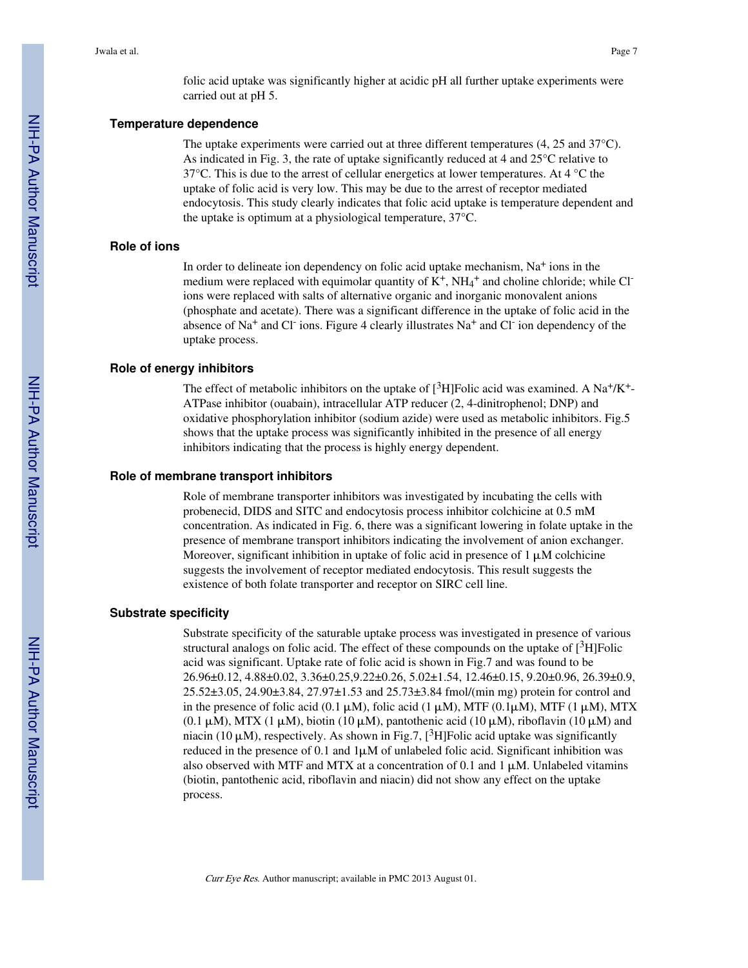folic acid uptake was significantly higher at acidic pH all further uptake experiments were carried out at pH 5.

#### **Temperature dependence**

The uptake experiments were carried out at three different temperatures (4, 25 and 37°C). As indicated in Fig. 3, the rate of uptake significantly reduced at 4 and 25°C relative to 37°C. This is due to the arrest of cellular energetics at lower temperatures. At 4 °C the uptake of folic acid is very low. This may be due to the arrest of receptor mediated endocytosis. This study clearly indicates that folic acid uptake is temperature dependent and the uptake is optimum at a physiological temperature, 37°C.

#### **Role of ions**

In order to delineate ion dependency on folic acid uptake mechanism,  $Na<sup>+</sup>$  ions in the medium were replaced with equimolar quantity of K<sup>+</sup>, NH<sub>4</sub><sup>+</sup> and choline chloride; while Cl<sup>-</sup> ions were replaced with salts of alternative organic and inorganic monovalent anions (phosphate and acetate). There was a significant difference in the uptake of folic acid in the absence of Na<sup>+</sup> and Cl<sup>-</sup> ions. Figure 4 clearly illustrates Na<sup>+</sup> and Cl<sup>-</sup> ion dependency of the uptake process.

#### **Role of energy inhibitors**

The effect of metabolic inhibitors on the uptake of  $[3H]$ Folic acid was examined. A Na<sup>+</sup>/K<sup>+</sup>-ATPase inhibitor (ouabain), intracellular ATP reducer (2, 4-dinitrophenol; DNP) and oxidative phosphorylation inhibitor (sodium azide) were used as metabolic inhibitors. Fig.5 shows that the uptake process was significantly inhibited in the presence of all energy inhibitors indicating that the process is highly energy dependent.

#### **Role of membrane transport inhibitors**

Role of membrane transporter inhibitors was investigated by incubating the cells with probenecid, DIDS and SITC and endocytosis process inhibitor colchicine at 0.5 mM concentration. As indicated in Fig. 6, there was a significant lowering in folate uptake in the presence of membrane transport inhibitors indicating the involvement of anion exchanger. Moreover, significant inhibition in uptake of folic acid in presence of  $1 \mu$ M colchicine suggests the involvement of receptor mediated endocytosis. This result suggests the existence of both folate transporter and receptor on SIRC cell line.

#### **Substrate specificity**

Substrate specificity of the saturable uptake process was investigated in presence of various structural analogs on folic acid. The effect of these compounds on the uptake of  $[3H]$ Folic acid was significant. Uptake rate of folic acid is shown in Fig.7 and was found to be 26.96±0.12, 4.88±0.02, 3.36±0.25,9.22±0.26, 5.02±1.54, 12.46±0.15, 9.20±0.96, 26.39±0.9, 25.52±3.05, 24.90±3.84, 27.97±1.53 and 25.73±3.84 fmol/(min mg) protein for control and in the presence of folic acid (0.1  $\mu$ M), folic acid (1  $\mu$ M), MTF (0.1 $\mu$ M), MTF (1  $\mu$ M), MTX  $(0.1 \mu M)$ , MTX  $(1 \mu M)$ , biotin  $(10 \mu M)$ , pantothenic acid  $(10 \mu M)$ , riboflavin  $(10 \mu M)$  and niacin (10  $\mu$ M), respectively. As shown in Fig.7, [<sup>3</sup>H]Folic acid uptake was significantly reduced in the presence of 0.1 and  $1\mu$ M of unlabeled folic acid. Significant inhibition was also observed with MTF and MTX at a concentration of 0.1 and 1  $\mu$ M. Unlabeled vitamins (biotin, pantothenic acid, riboflavin and niacin) did not show any effect on the uptake process.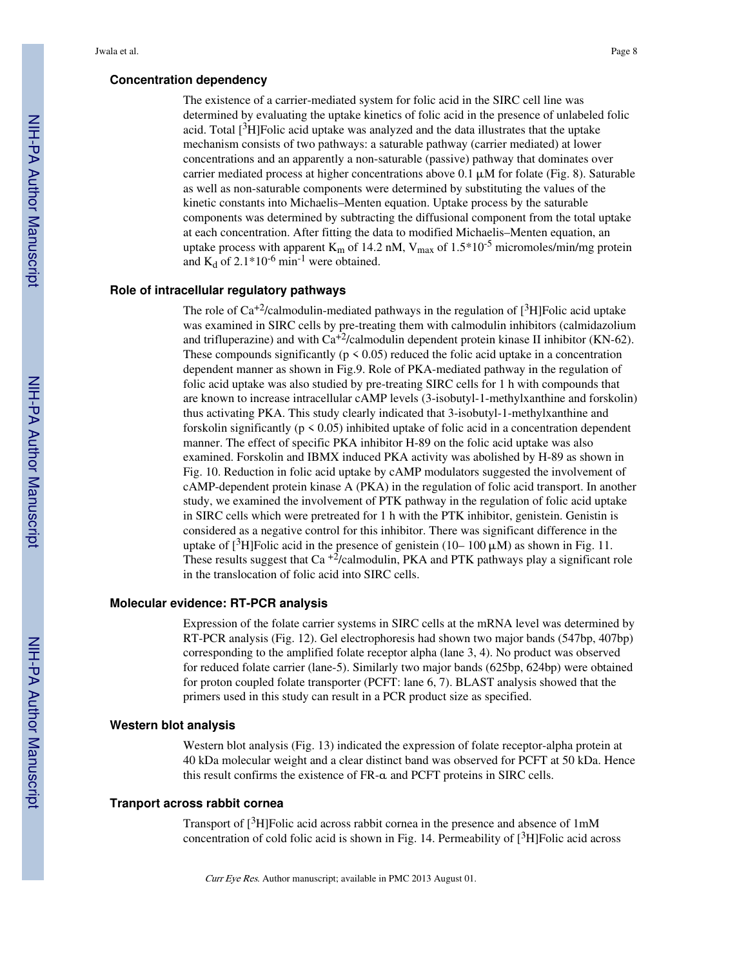#### **Concentration dependency**

The existence of a carrier-mediated system for folic acid in the SIRC cell line was determined by evaluating the uptake kinetics of folic acid in the presence of unlabeled folic acid. Total  $[3H]F$ olic acid uptake was analyzed and the data illustrates that the uptake mechanism consists of two pathways: a saturable pathway (carrier mediated) at lower concentrations and an apparently a non-saturable (passive) pathway that dominates over carrier mediated process at higher concentrations above  $0.1 \mu M$  for folate (Fig. 8). Saturable as well as non-saturable components were determined by substituting the values of the kinetic constants into Michaelis–Menten equation. Uptake process by the saturable components was determined by subtracting the diffusional component from the total uptake at each concentration. After fitting the data to modified Michaelis–Menten equation, an uptake process with apparent  $K_m$  of 14.2 nM,  $V_{max}$  of 1.5\*10<sup>-5</sup> micromoles/min/mg protein and  $K_d$  of 2.1\*10<sup>-6</sup> min<sup>-1</sup> were obtained.

#### **Role of intracellular regulatory pathways**

The role of  $Ca^{+2}/c$ almodulin-mediated pathways in the regulation of [<sup>3</sup>H]Folic acid uptake was examined in SIRC cells by pre-treating them with calmodulin inhibitors (calmidazolium and trifluperazine) and with  $Ca^{2}/calmoduli$  dependent protein kinase II inhibitor (KN-62). These compounds significantly ( $p \le 0.05$ ) reduced the folic acid uptake in a concentration dependent manner as shown in Fig.9. Role of PKA-mediated pathway in the regulation of folic acid uptake was also studied by pre-treating SIRC cells for 1 h with compounds that are known to increase intracellular cAMP levels (3-isobutyl-1-methylxanthine and forskolin) thus activating PKA. This study clearly indicated that 3-isobutyl-1-methylxanthine and forskolin significantly ( $p \le 0.05$ ) inhibited uptake of folic acid in a concentration dependent manner. The effect of specific PKA inhibitor H-89 on the folic acid uptake was also examined. Forskolin and IBMX induced PKA activity was abolished by H-89 as shown in Fig. 10. Reduction in folic acid uptake by cAMP modulators suggested the involvement of cAMP-dependent protein kinase A (PKA) in the regulation of folic acid transport. In another study, we examined the involvement of PTK pathway in the regulation of folic acid uptake in SIRC cells which were pretreated for 1 h with the PTK inhibitor, genistein. Genistin is considered as a negative control for this inhibitor. There was significant difference in the uptake of  $[3H]$ Folic acid in the presence of genistein (10– 100  $\mu$ M) as shown in Fig. 11. These results suggest that  $Ca^{-2}/calmoduli$ , PKA and PTK pathways play a significant role in the translocation of folic acid into SIRC cells.

#### **Molecular evidence: RT-PCR analysis**

Expression of the folate carrier systems in SIRC cells at the mRNA level was determined by RT-PCR analysis (Fig. 12). Gel electrophoresis had shown two major bands (547bp, 407bp) corresponding to the amplified folate receptor alpha (lane 3, 4). No product was observed for reduced folate carrier (lane-5). Similarly two major bands (625bp, 624bp) were obtained for proton coupled folate transporter (PCFT: lane 6, 7). BLAST analysis showed that the primers used in this study can result in a PCR product size as specified.

#### **Western blot analysis**

Western blot analysis (Fig. 13) indicated the expression of folate receptor-alpha protein at 40 kDa molecular weight and a clear distinct band was observed for PCFT at 50 kDa. Hence this result confirms the existence of FR-α and PCFT proteins in SIRC cells.

#### **Tranport across rabbit cornea**

Transport of [3H]Folic acid across rabbit cornea in the presence and absence of 1mM concentration of cold folic acid is shown in Fig. 14. Permeability of  $[3H]$ Folic acid across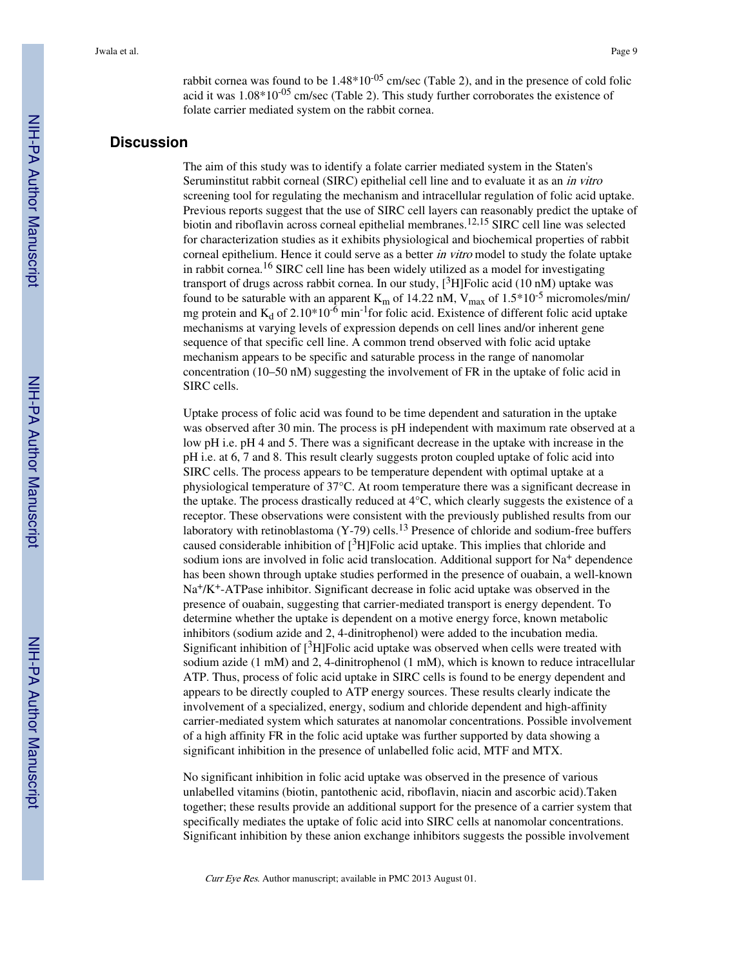rabbit cornea was found to be  $1.48*10^{-05}$  cm/sec (Table 2), and in the presence of cold folic acid it was  $1.08*10^{-05}$  cm/sec (Table 2). This study further corroborates the existence of folate carrier mediated system on the rabbit cornea.

#### **Discussion**

The aim of this study was to identify a folate carrier mediated system in the Staten's Seruminstitut rabbit corneal (SIRC) epithelial cell line and to evaluate it as an in vitro screening tool for regulating the mechanism and intracellular regulation of folic acid uptake. Previous reports suggest that the use of SIRC cell layers can reasonably predict the uptake of biotin and riboflavin across corneal epithelial membranes.<sup>12,15</sup> SIRC cell line was selected for characterization studies as it exhibits physiological and biochemical properties of rabbit corneal epithelium. Hence it could serve as a better *in vitro* model to study the folate uptake in rabbit cornea.16 SIRC cell line has been widely utilized as a model for investigating transport of drugs across rabbit cornea. In our study,  $[^3H]$ Folic acid (10 nM) uptake was found to be saturable with an apparent  $K_m$  of 14.22 nM,  $V_{max}$  of 1.5\*10<sup>-5</sup> micromoles/min/ mg protein and  $K_d$  of 2.10\*10<sup>-6</sup> min<sup>-1</sup>for folic acid. Existence of different folic acid uptake mechanisms at varying levels of expression depends on cell lines and/or inherent gene sequence of that specific cell line. A common trend observed with folic acid uptake mechanism appears to be specific and saturable process in the range of nanomolar concentration (10–50 nM) suggesting the involvement of FR in the uptake of folic acid in SIRC cells.

Uptake process of folic acid was found to be time dependent and saturation in the uptake was observed after 30 min. The process is pH independent with maximum rate observed at a low pH i.e. pH 4 and 5. There was a significant decrease in the uptake with increase in the pH i.e. at 6, 7 and 8. This result clearly suggests proton coupled uptake of folic acid into SIRC cells. The process appears to be temperature dependent with optimal uptake at a physiological temperature of 37°C. At room temperature there was a significant decrease in the uptake. The process drastically reduced at 4°C, which clearly suggests the existence of a receptor. These observations were consistent with the previously published results from our laboratory with retinoblastoma (Y-79) cells.<sup>13</sup> Presence of chloride and sodium-free buffers caused considerable inhibition of  $\lceil^3H\rceil$ Folic acid uptake. This implies that chloride and sodium ions are involved in folic acid translocation. Additional support for Na<sup>+</sup> dependence has been shown through uptake studies performed in the presence of ouabain, a well-known Na+/K+-ATPase inhibitor. Significant decrease in folic acid uptake was observed in the presence of ouabain, suggesting that carrier-mediated transport is energy dependent. To determine whether the uptake is dependent on a motive energy force, known metabolic inhibitors (sodium azide and 2, 4-dinitrophenol) were added to the incubation media. Significant inhibition of  $[3H]$ Folic acid uptake was observed when cells were treated with sodium azide (1 mM) and 2, 4-dinitrophenol (1 mM), which is known to reduce intracellular ATP. Thus, process of folic acid uptake in SIRC cells is found to be energy dependent and appears to be directly coupled to ATP energy sources. These results clearly indicate the involvement of a specialized, energy, sodium and chloride dependent and high-affinity carrier-mediated system which saturates at nanomolar concentrations. Possible involvement of a high affinity FR in the folic acid uptake was further supported by data showing a significant inhibition in the presence of unlabelled folic acid, MTF and MTX.

No significant inhibition in folic acid uptake was observed in the presence of various unlabelled vitamins (biotin, pantothenic acid, riboflavin, niacin and ascorbic acid).Taken together; these results provide an additional support for the presence of a carrier system that specifically mediates the uptake of folic acid into SIRC cells at nanomolar concentrations. Significant inhibition by these anion exchange inhibitors suggests the possible involvement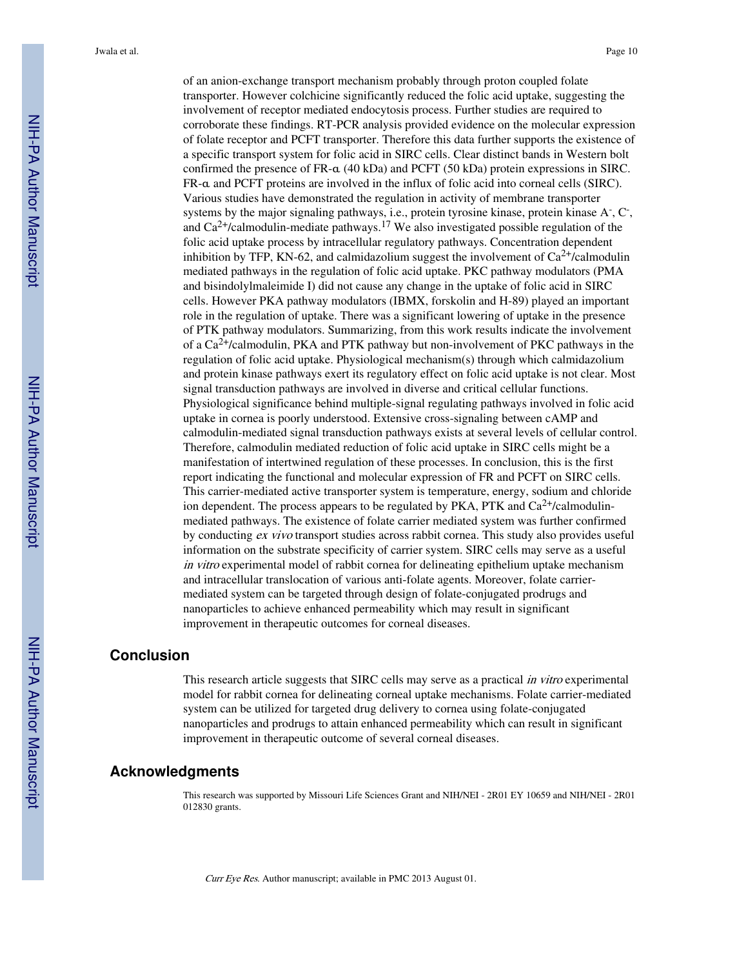of an anion-exchange transport mechanism probably through proton coupled folate transporter. However colchicine significantly reduced the folic acid uptake, suggesting the involvement of receptor mediated endocytosis process. Further studies are required to corroborate these findings. RT-PCR analysis provided evidence on the molecular expression of folate receptor and PCFT transporter. Therefore this data further supports the existence of a specific transport system for folic acid in SIRC cells. Clear distinct bands in Western bolt confirmed the presence of FR-α (40 kDa) and PCFT (50 kDa) protein expressions in SIRC. FR-α and PCFT proteins are involved in the influx of folic acid into corneal cells (SIRC). Various studies have demonstrated the regulation in activity of membrane transporter systems by the major signaling pathways, i.e., protein tyrosine kinase, protein kinase A<sup>-</sup>, C<sup>-</sup>, and  $Ca^{2+}/c$ almodulin-mediate pathways.<sup>17</sup> We also investigated possible regulation of the folic acid uptake process by intracellular regulatory pathways. Concentration dependent inhibition by TFP, KN-62, and calmidazolium suggest the involvement of  $Ca^{2+}/c$ almodulin mediated pathways in the regulation of folic acid uptake. PKC pathway modulators (PMA and bisindolylmaleimide I) did not cause any change in the uptake of folic acid in SIRC cells. However PKA pathway modulators (IBMX, forskolin and H-89) played an important role in the regulation of uptake. There was a significant lowering of uptake in the presence of PTK pathway modulators. Summarizing, from this work results indicate the involvement of a  $Ca<sup>2+</sup>/calmodulin$ , PKA and PTK pathway but non-involvement of PKC pathways in the regulation of folic acid uptake. Physiological mechanism(s) through which calmidazolium and protein kinase pathways exert its regulatory effect on folic acid uptake is not clear. Most signal transduction pathways are involved in diverse and critical cellular functions. Physiological significance behind multiple-signal regulating pathways involved in folic acid uptake in cornea is poorly understood. Extensive cross-signaling between cAMP and calmodulin-mediated signal transduction pathways exists at several levels of cellular control. Therefore, calmodulin mediated reduction of folic acid uptake in SIRC cells might be a manifestation of intertwined regulation of these processes. In conclusion, this is the first report indicating the functional and molecular expression of FR and PCFT on SIRC cells. This carrier-mediated active transporter system is temperature, energy, sodium and chloride ion dependent. The process appears to be regulated by PKA, PTK and  $Ca^{2+}/cal$ calmodulinmediated pathways. The existence of folate carrier mediated system was further confirmed by conducting ex vivo transport studies across rabbit cornea. This study also provides useful information on the substrate specificity of carrier system. SIRC cells may serve as a useful in vitro experimental model of rabbit cornea for delineating epithelium uptake mechanism and intracellular translocation of various anti-folate agents. Moreover, folate carriermediated system can be targeted through design of folate-conjugated prodrugs and nanoparticles to achieve enhanced permeability which may result in significant improvement in therapeutic outcomes for corneal diseases.

#### **Conclusion**

This research article suggests that SIRC cells may serve as a practical *in vitro* experimental model for rabbit cornea for delineating corneal uptake mechanisms. Folate carrier-mediated system can be utilized for targeted drug delivery to cornea using folate-conjugated nanoparticles and prodrugs to attain enhanced permeability which can result in significant improvement in therapeutic outcome of several corneal diseases.

#### **Acknowledgments**

This research was supported by Missouri Life Sciences Grant and NIH/NEI - 2R01 EY 10659 and NIH/NEI - 2R01 012830 grants.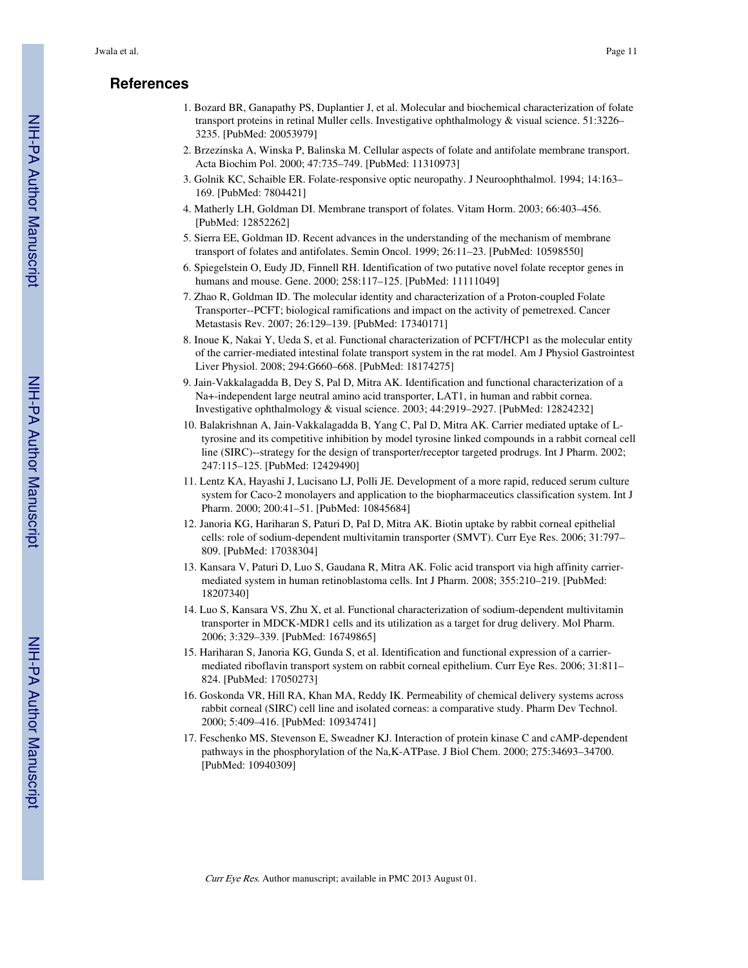# **References**

- 1. Bozard BR, Ganapathy PS, Duplantier J, et al. Molecular and biochemical characterization of folate transport proteins in retinal Muller cells. Investigative ophthalmology & visual science. 51:3226– 3235. [PubMed: 20053979]
- 2. Brzezinska A, Winska P, Balinska M. Cellular aspects of folate and antifolate membrane transport. Acta Biochim Pol. 2000; 47:735–749. [PubMed: 11310973]
- 3. Golnik KC, Schaible ER. Folate-responsive optic neuropathy. J Neuroophthalmol. 1994; 14:163– 169. [PubMed: 7804421]
- 4. Matherly LH, Goldman DI. Membrane transport of folates. Vitam Horm. 2003; 66:403–456. [PubMed: 12852262]
- 5. Sierra EE, Goldman ID. Recent advances in the understanding of the mechanism of membrane transport of folates and antifolates. Semin Oncol. 1999; 26:11–23. [PubMed: 10598550]
- 6. Spiegelstein O, Eudy JD, Finnell RH. Identification of two putative novel folate receptor genes in humans and mouse. Gene. 2000; 258:117–125. [PubMed: 11111049]
- 7. Zhao R, Goldman ID. The molecular identity and characterization of a Proton-coupled Folate Transporter--PCFT; biological ramifications and impact on the activity of pemetrexed. Cancer Metastasis Rev. 2007; 26:129–139. [PubMed: 17340171]
- 8. Inoue K, Nakai Y, Ueda S, et al. Functional characterization of PCFT/HCP1 as the molecular entity of the carrier-mediated intestinal folate transport system in the rat model. Am J Physiol Gastrointest Liver Physiol. 2008; 294:G660–668. [PubMed: 18174275]
- 9. Jain-Vakkalagadda B, Dey S, Pal D, Mitra AK. Identification and functional characterization of a Na+-independent large neutral amino acid transporter, LAT1, in human and rabbit cornea. Investigative ophthalmology & visual science. 2003; 44:2919–2927. [PubMed: 12824232]
- 10. Balakrishnan A, Jain-Vakkalagadda B, Yang C, Pal D, Mitra AK. Carrier mediated uptake of Ltyrosine and its competitive inhibition by model tyrosine linked compounds in a rabbit corneal cell line (SIRC)--strategy for the design of transporter/receptor targeted prodrugs. Int J Pharm. 2002; 247:115–125. [PubMed: 12429490]
- 11. Lentz KA, Hayashi J, Lucisano LJ, Polli JE. Development of a more rapid, reduced serum culture system for Caco-2 monolayers and application to the biopharmaceutics classification system. Int J Pharm. 2000; 200:41–51. [PubMed: 10845684]
- 12. Janoria KG, Hariharan S, Paturi D, Pal D, Mitra AK. Biotin uptake by rabbit corneal epithelial cells: role of sodium-dependent multivitamin transporter (SMVT). Curr Eye Res. 2006; 31:797– 809. [PubMed: 17038304]
- 13. Kansara V, Paturi D, Luo S, Gaudana R, Mitra AK. Folic acid transport via high affinity carriermediated system in human retinoblastoma cells. Int J Pharm. 2008; 355:210–219. [PubMed: 18207340]
- 14. Luo S, Kansara VS, Zhu X, et al. Functional characterization of sodium-dependent multivitamin transporter in MDCK-MDR1 cells and its utilization as a target for drug delivery. Mol Pharm. 2006; 3:329–339. [PubMed: 16749865]
- 15. Hariharan S, Janoria KG, Gunda S, et al. Identification and functional expression of a carriermediated riboflavin transport system on rabbit corneal epithelium. Curr Eye Res. 2006; 31:811– 824. [PubMed: 17050273]
- 16. Goskonda VR, Hill RA, Khan MA, Reddy IK. Permeability of chemical delivery systems across rabbit corneal (SIRC) cell line and isolated corneas: a comparative study. Pharm Dev Technol. 2000; 5:409–416. [PubMed: 10934741]
- 17. Feschenko MS, Stevenson E, Sweadner KJ. Interaction of protein kinase C and cAMP-dependent pathways in the phosphorylation of the Na,K-ATPase. J Biol Chem. 2000; 275:34693–34700. [PubMed: 10940309]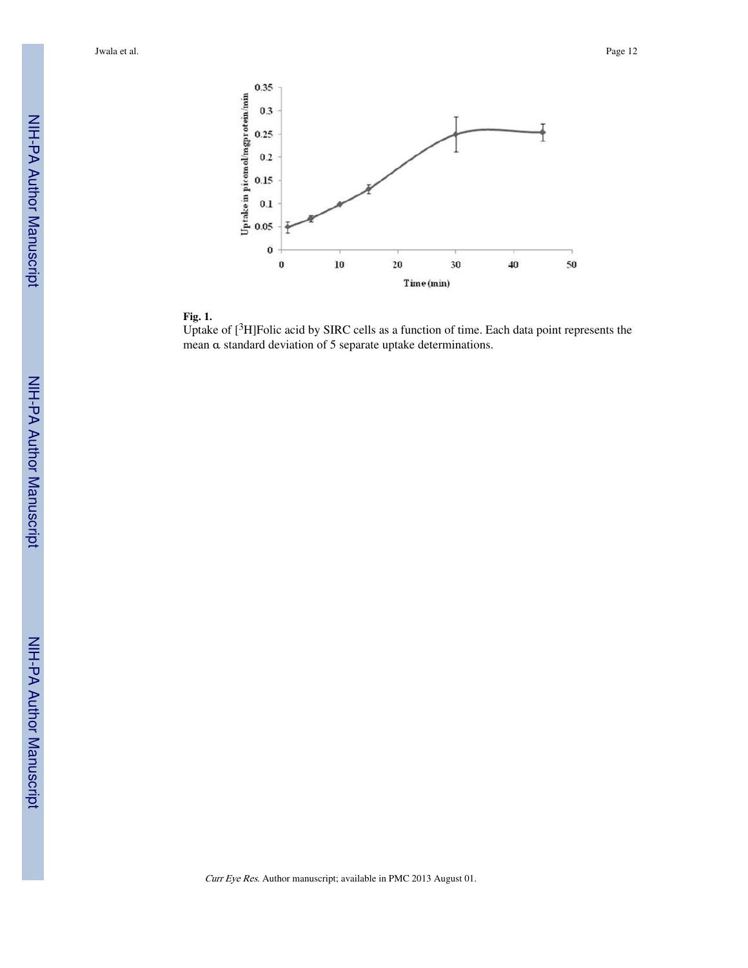



Uptake of [<sup>3</sup>H]Folic acid by SIRC cells as a function of time. Each data point represents the mean α standard deviation of 5 separate uptake determinations.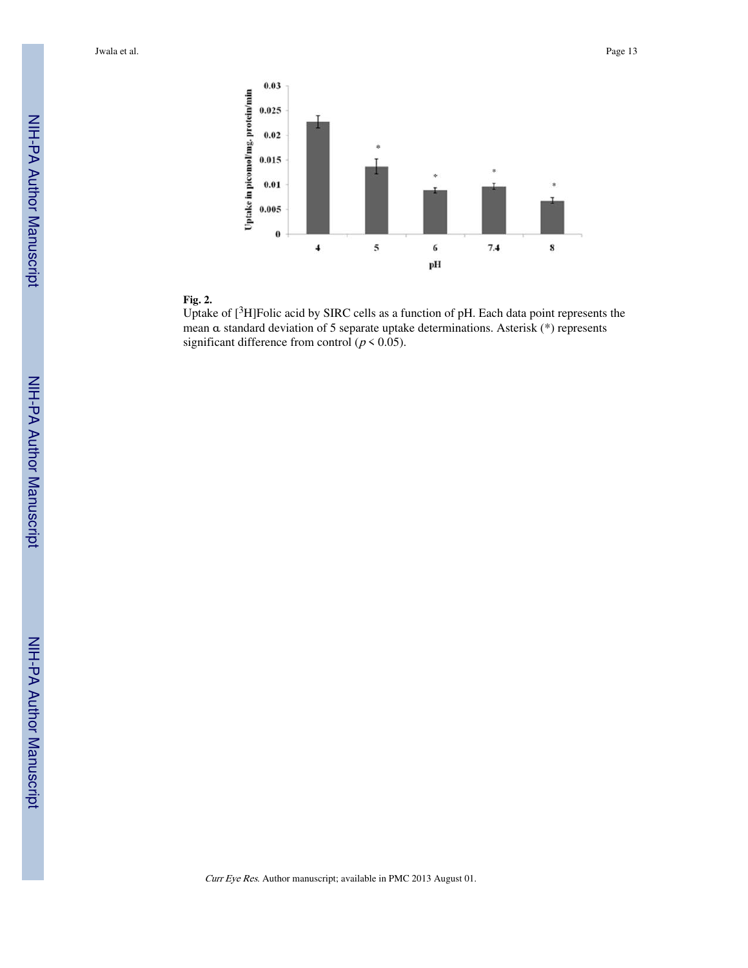



Uptake of  $[3H]$ Folic acid by SIRC cells as a function of pH. Each data point represents the mean α standard deviation of 5 separate uptake determinations. Asterisk (\*) represents significant difference from control ( $p < 0.05$ ).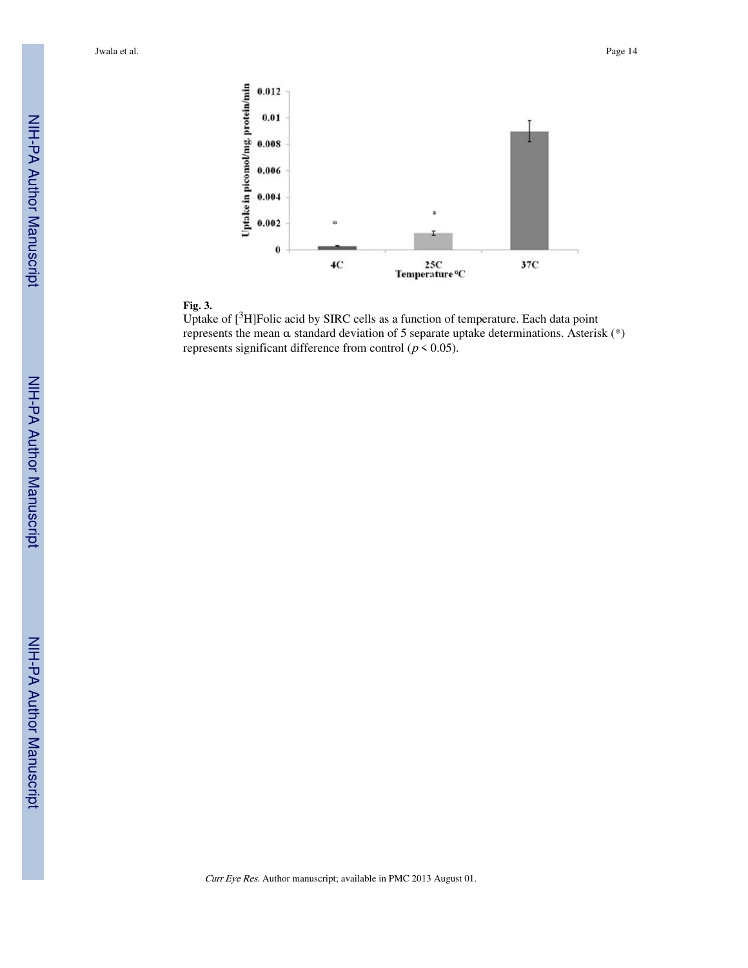



Uptake of [3H]Folic acid by SIRC cells as a function of temperature. Each data point represents the mean α standard deviation of 5 separate uptake determinations. Asterisk (\*) represents significant difference from control ( $p \le 0.05$ ).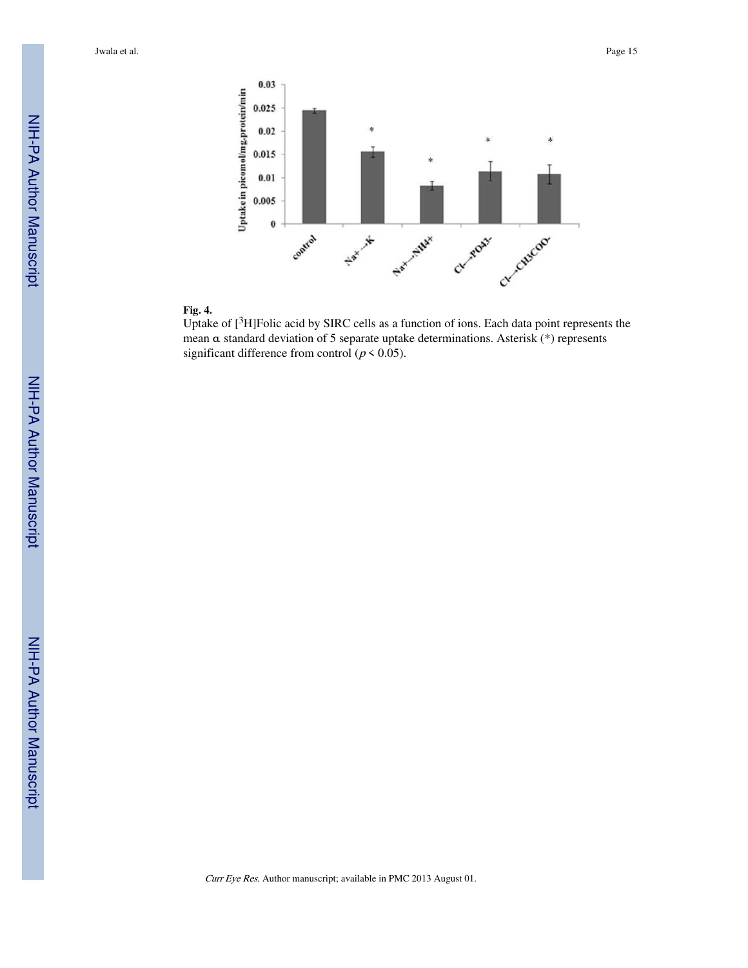



Uptake of [<sup>3</sup>H]Folic acid by SIRC cells as a function of ions. Each data point represents the mean α standard deviation of 5 separate uptake determinations. Asterisk (\*) represents significant difference from control ( $p < 0.05$ ).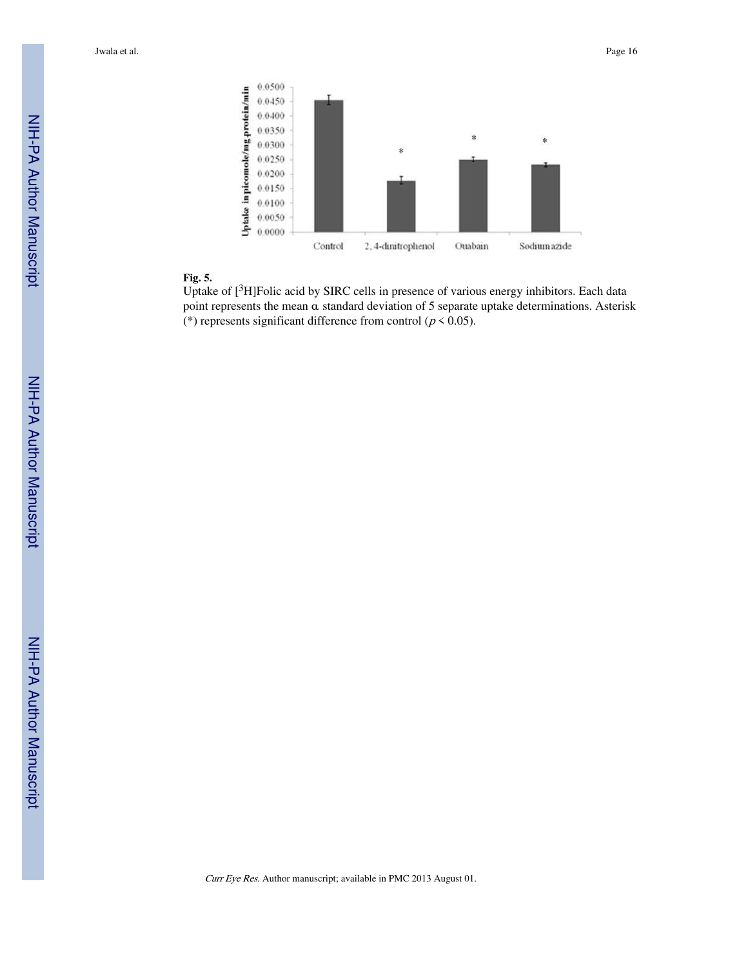

#### **Fig. 5.**

Uptake of [<sup>3</sup>H]Folic acid by SIRC cells in presence of various energy inhibitors. Each data point represents the mean α standard deviation of 5 separate uptake determinations. Asterisk (\*) represents significant difference from control ( $p < 0.05$ ).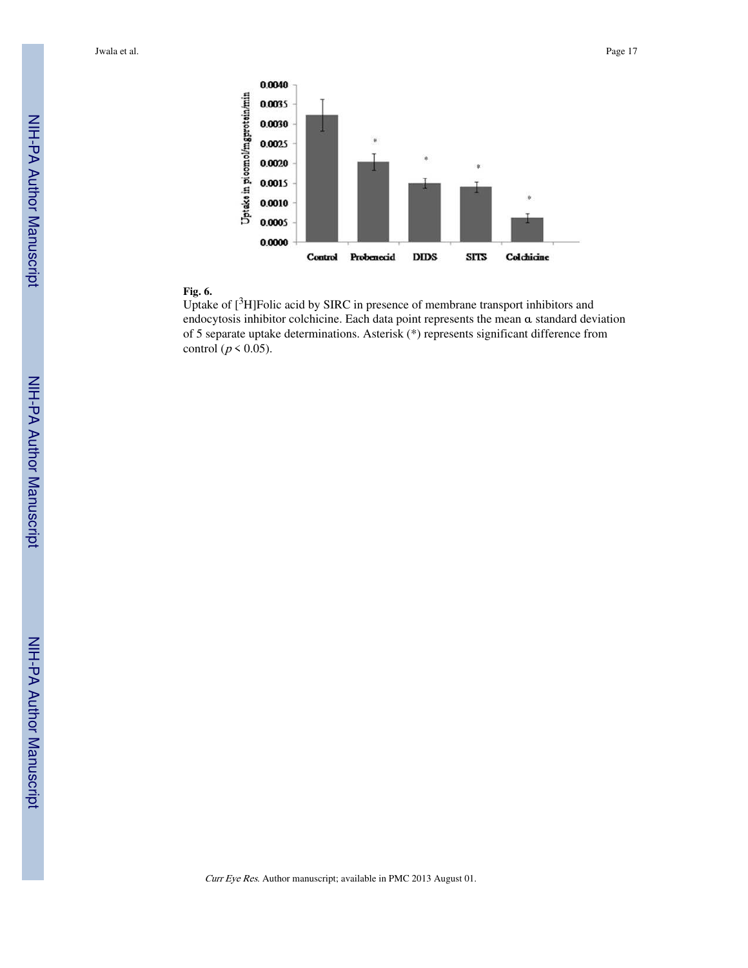

#### **Fig. 6.**

Uptake of [3H]Folic acid by SIRC in presence of membrane transport inhibitors and endocytosis inhibitor colchicine. Each data point represents the mean α standard deviation of 5 separate uptake determinations. Asterisk (\*) represents significant difference from control ( $p \le 0.05$ ).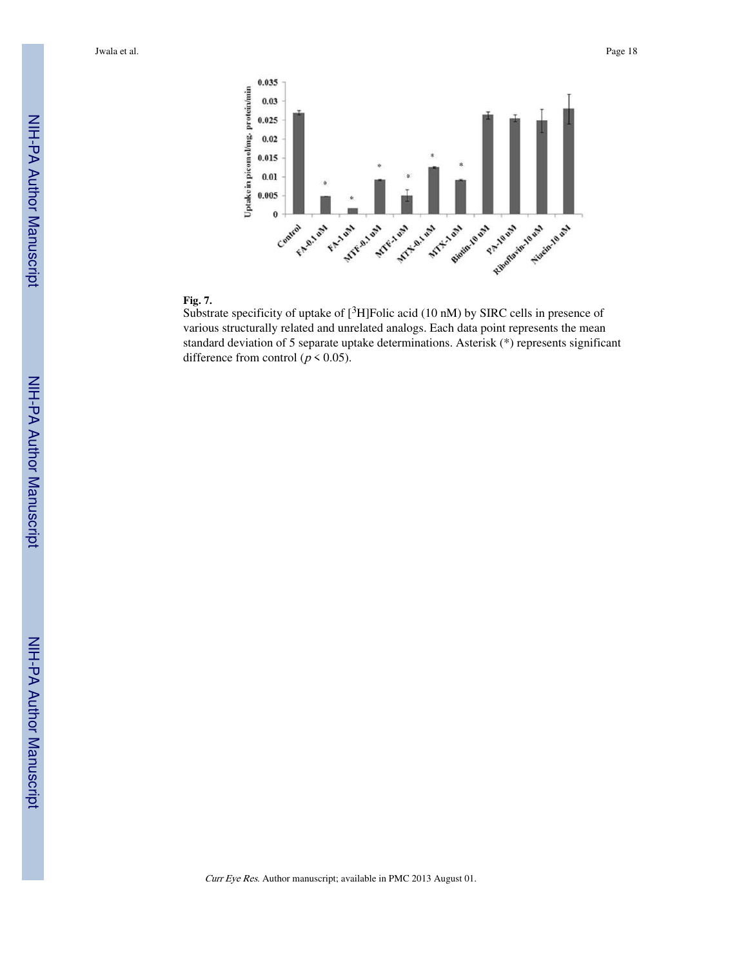

#### **Fig. 7.**

Substrate specificity of uptake of  $[{}^{3}H]$ Folic acid (10 nM) by SIRC cells in presence of various structurally related and unrelated analogs. Each data point represents the mean standard deviation of 5 separate uptake determinations. Asterisk (\*) represents significant difference from control ( $p \le 0.05$ ).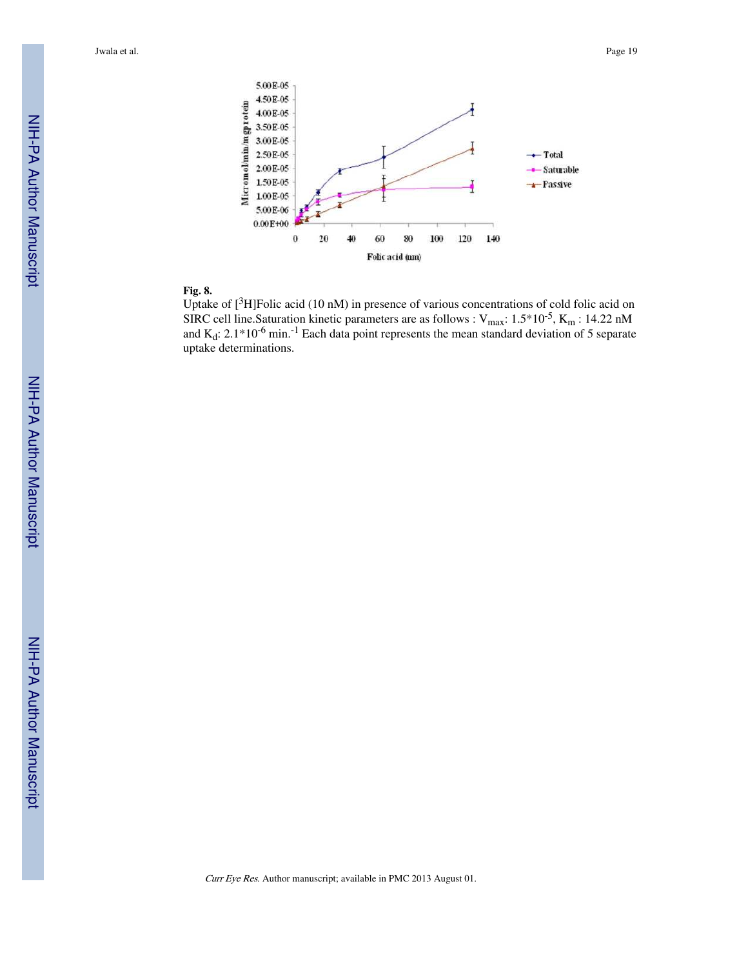

#### **Fig. 8.**

Uptake of [<sup>3</sup>H]Folic acid (10 nM) in presence of various concentrations of cold folic acid on SIRC cell line. Saturation kinetic parameters are as follows :  $V_{max}$ :  $1.5*10<sup>-5</sup>$ , K<sub>m</sub> : 14.22 nM and  $K_d$ : 2.1\*10<sup>-6</sup> min.<sup>-1</sup> Each data point represents the mean standard deviation of 5 separate uptake determinations.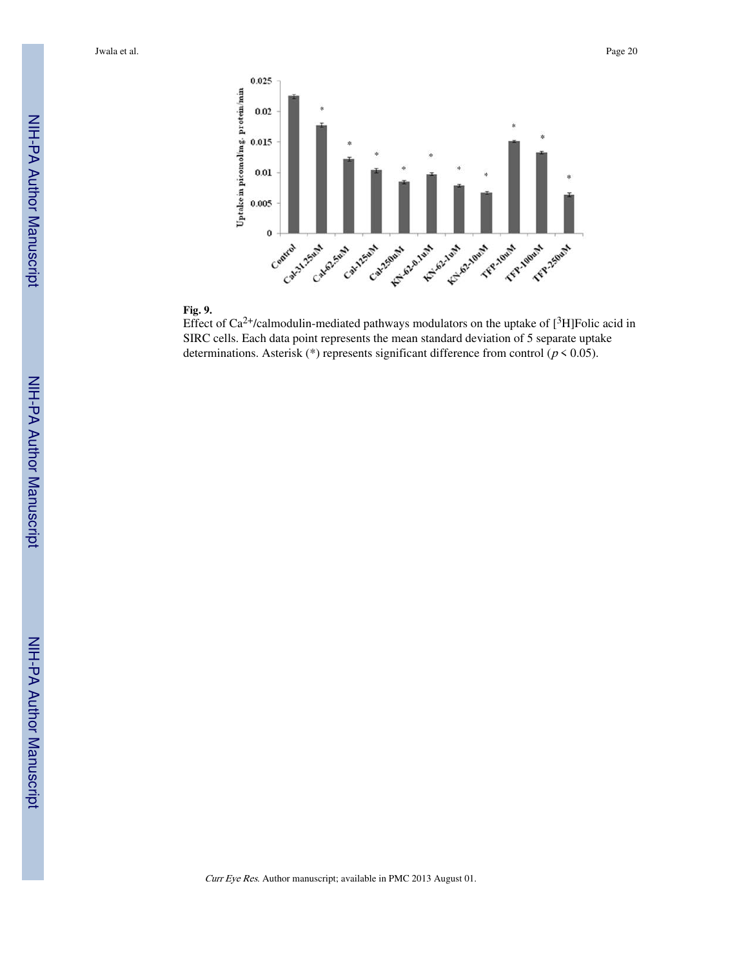



Effect of Ca<sup>2+</sup>/calmodulin-mediated pathways modulators on the uptake of  $[{}^{3}H]$ Folic acid in SIRC cells. Each data point represents the mean standard deviation of 5 separate uptake determinations. Asterisk (\*) represents significant difference from control ( $p < 0.05$ ).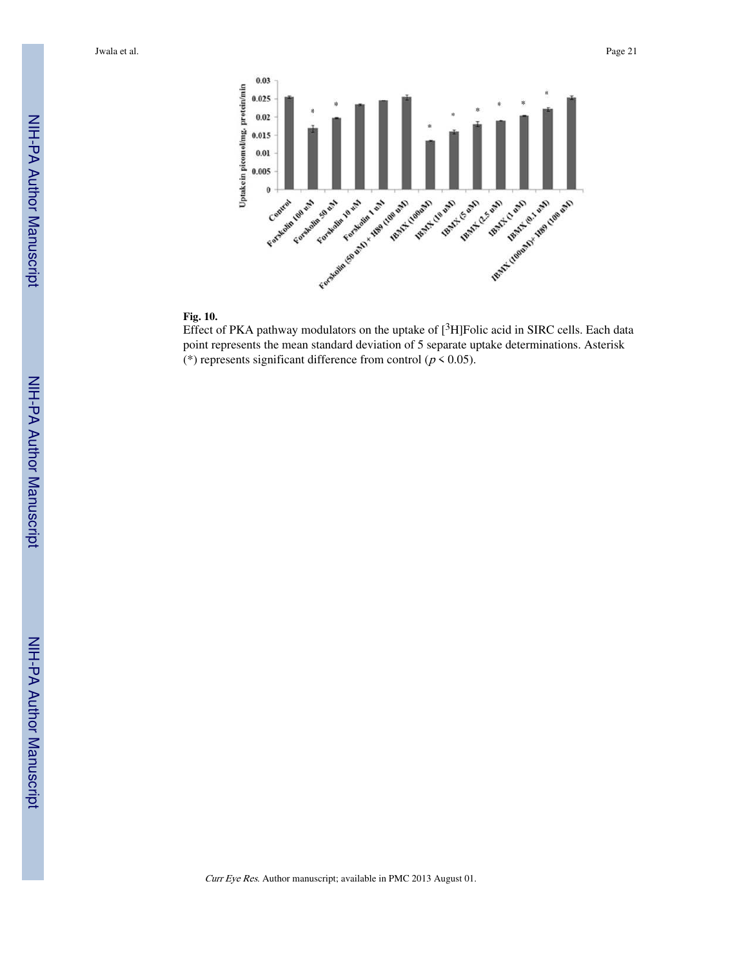



Effect of PKA pathway modulators on the uptake of  $[{}^{3}H]$ Folic acid in SIRC cells. Each data point represents the mean standard deviation of 5 separate uptake determinations. Asterisk (\*) represents significant difference from control ( $p < 0.05$ ).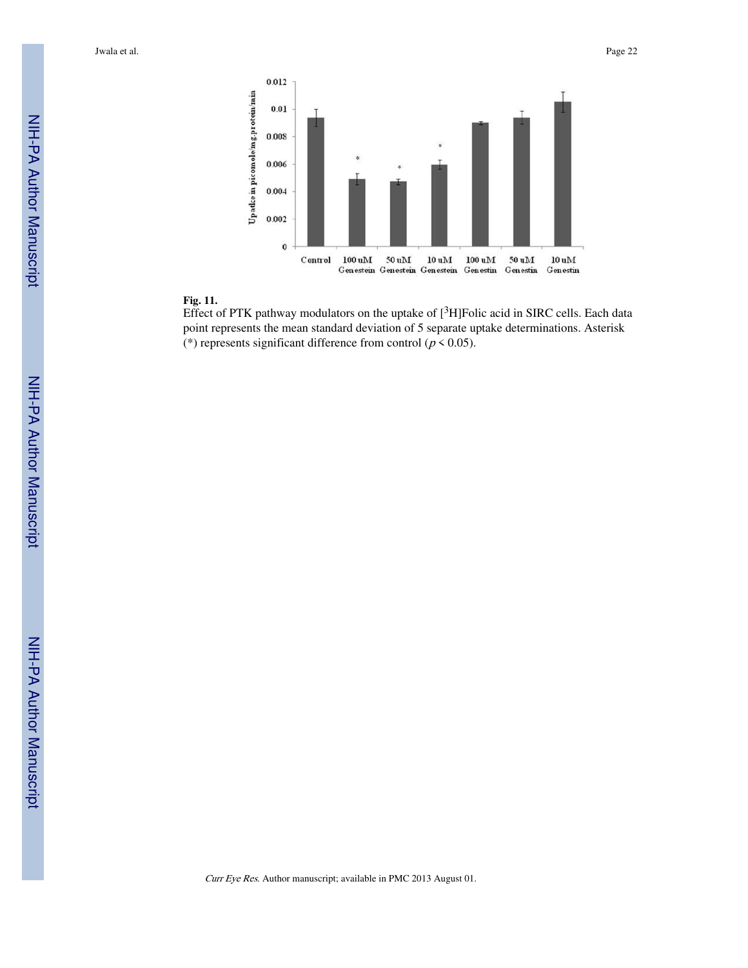



Effect of PTK pathway modulators on the uptake of  $[{}^{3}H]$ Folic acid in SIRC cells. Each data point represents the mean standard deviation of 5 separate uptake determinations. Asterisk (\*) represents significant difference from control ( $p < 0.05$ ).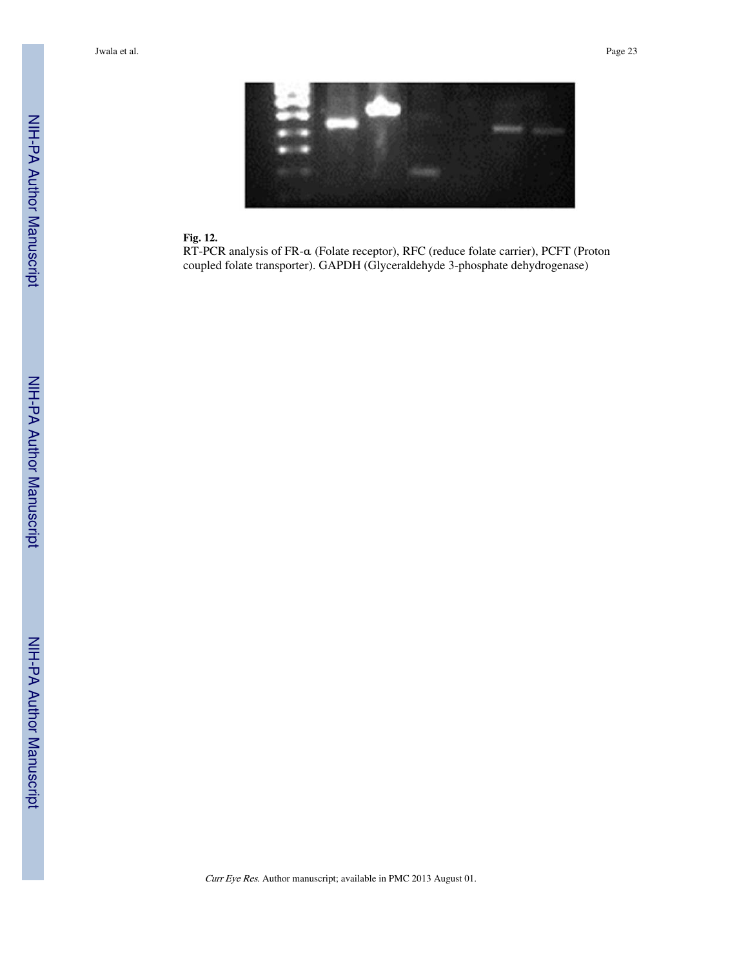

#### **Fig. 12.**

RT-PCR analysis of FR-α (Folate receptor), RFC (reduce folate carrier), PCFT (Proton coupled folate transporter). GAPDH (Glyceraldehyde 3-phosphate dehydrogenase)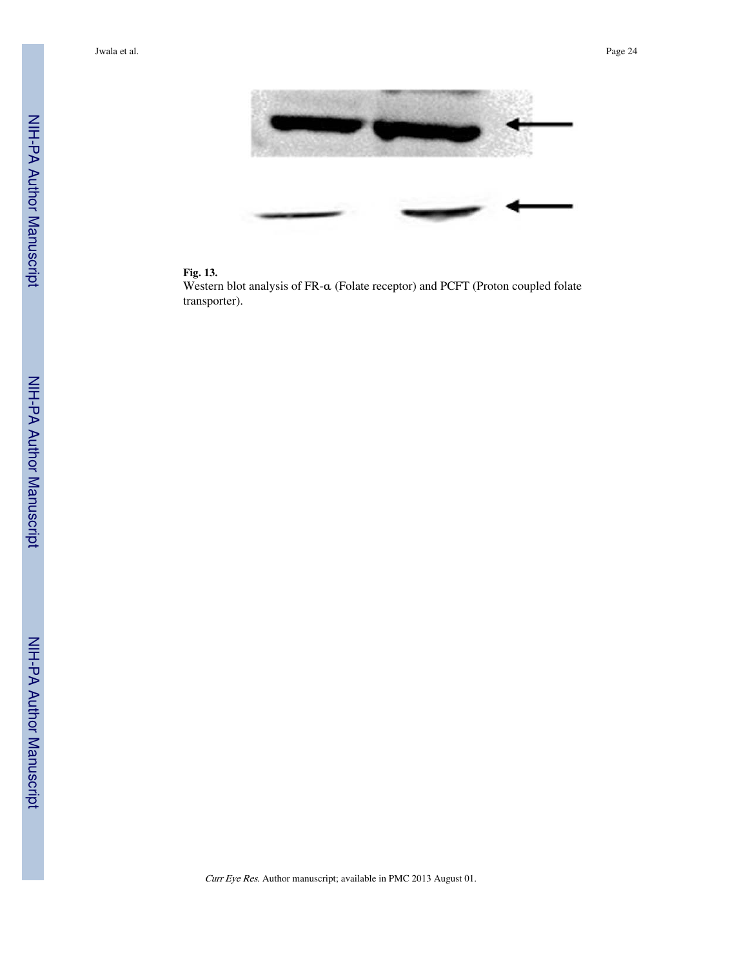



Western blot analysis of FR-α (Folate receptor) and PCFT (Proton coupled folate transporter).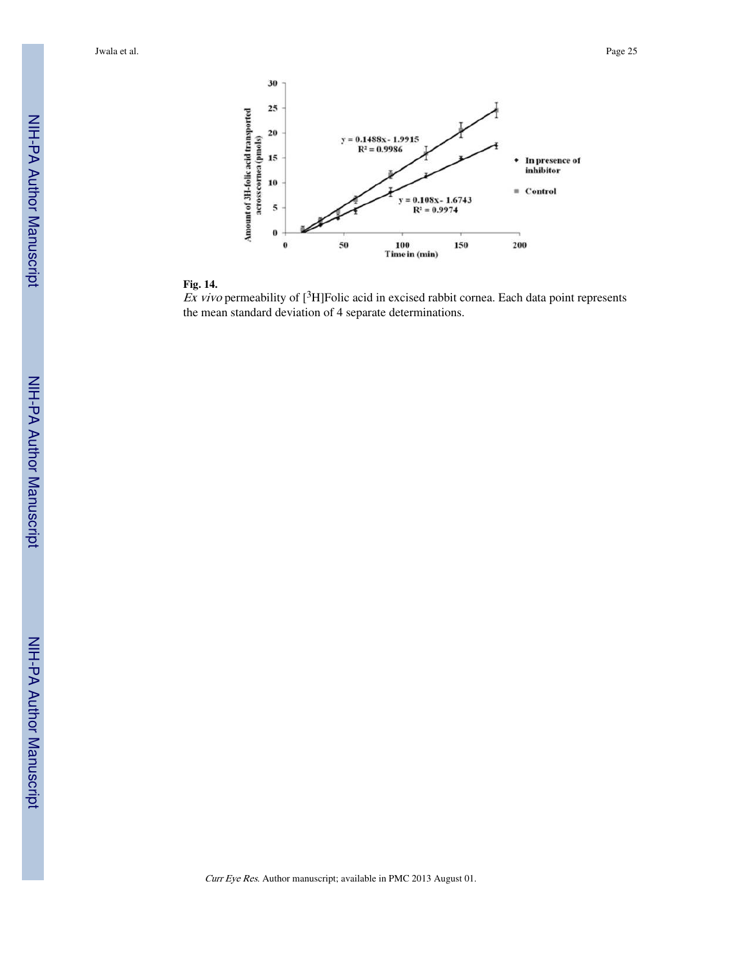



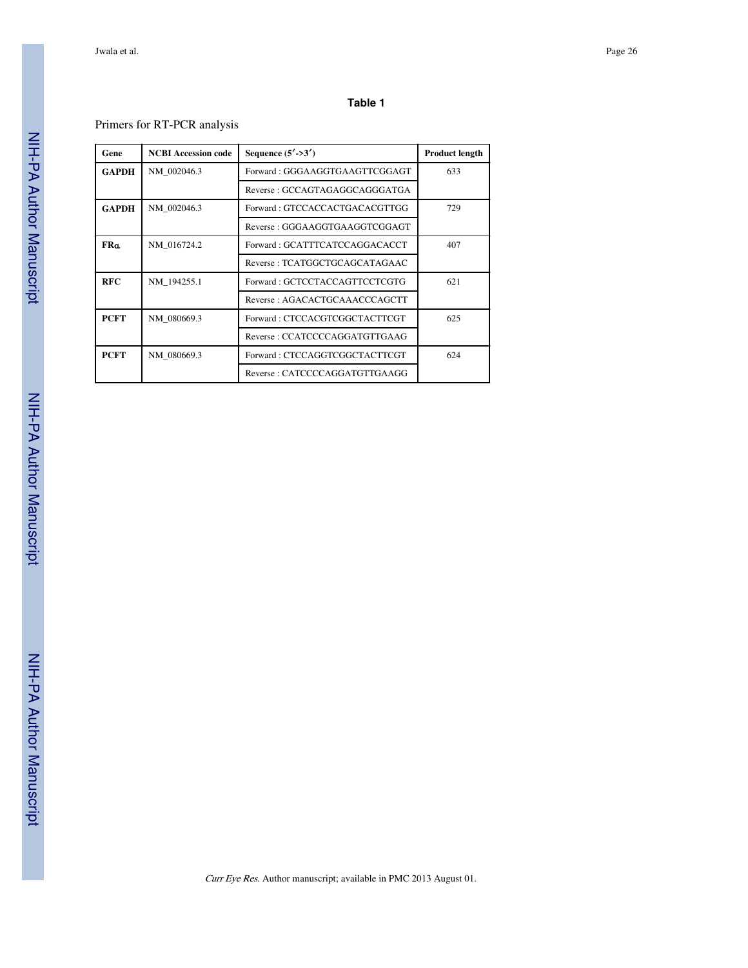#### **Table 1**

# Primers for RT-PCR analysis

| Gene         | <b>NCBI Accession code</b> | Sequence $(5'$ ->3')          | <b>Product length</b> |
|--------------|----------------------------|-------------------------------|-----------------------|
| <b>GAPDH</b> | NM 002046.3                | Forward: GGGAAGGTGAAGTTCGGAGT | 633                   |
|              |                            | Reverse: GCCAGTAGAGGCAGGGATGA |                       |
| <b>GAPDH</b> | NM 002046.3                | Forward: GTCCACCACTGACACGTTGG | 729                   |
|              |                            | Reverse: GGGAAGGTGAAGGTCGGAGT |                       |
| <b>FRa</b>   | NM 016724.2                | Forward: GCATTTCATCCAGGACACCT | 407                   |
|              |                            | Reverse: TCATGGCTGCAGCATAGAAC |                       |
| <b>RFC</b>   | NM 194255.1                | Forward: GCTCCTACCAGTTCCTCGTG | 621                   |
|              |                            | Reverse: AGACACTGCAAACCCAGCTT |                       |
| <b>PCFT</b>  | NM 080669.3                | Forward: CTCCACGTCGGCTACTTCGT | 625                   |
|              |                            | Reverse: CCATCCCCAGGATGTTGAAG |                       |
| <b>PCFT</b>  | NM 080669.3                | Forward: CTCCAGGTCGGCTACTTCGT | 624                   |
|              |                            | Reverse: CATCCCCAGGATGTTGAAGG |                       |